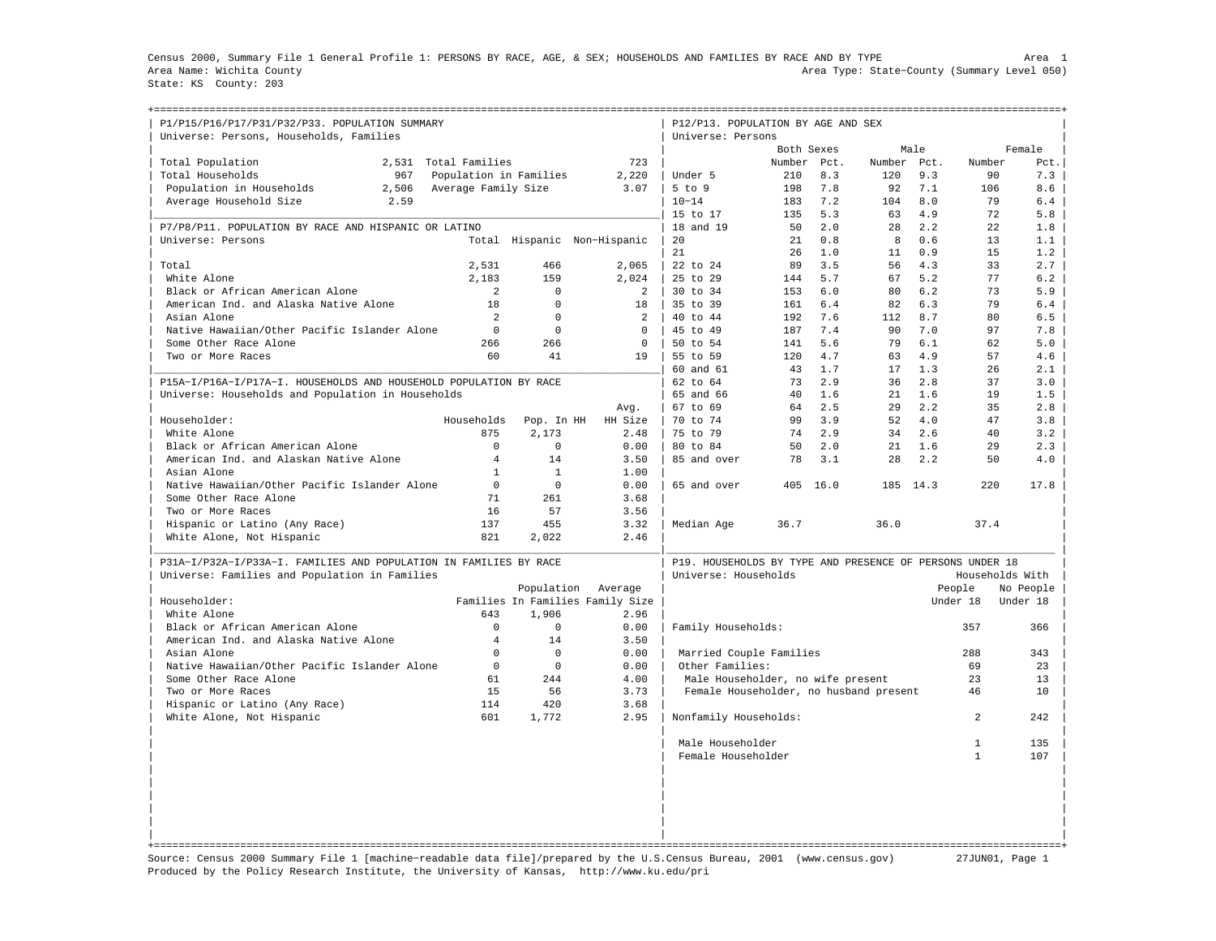Census 2000, Summary File 1 General Profile 1: PERSONS BY RACE, AGE, & SEX; HOUSEHOLDS AND FAMILIES BY RACE AND BY TYPE Area 1 Area Name: Wichita County Area Type: State−County (Summary Level 050) State: KS County: 203

| P1/P15/P16/P17/P31/P32/P33. POPULATION SUMMARY<br>Universe: Persons, Households, Families |                        |                     |                                  | P12/P13. POPULATION BY AGE AND SEX<br>Universe: Persons  |            |      |             |      |                 |           |
|-------------------------------------------------------------------------------------------|------------------------|---------------------|----------------------------------|----------------------------------------------------------|------------|------|-------------|------|-----------------|-----------|
|                                                                                           |                        |                     |                                  |                                                          | Both Sexes |      |             | Male |                 | Female    |
| Total Population<br>2,531                                                                 | Total Families         |                     | 723                              |                                                          | Number     | Pct. | Number Pct. |      | Number          | Pct.      |
| Total Households<br>967                                                                   | Population in Families |                     | 2,220                            | Under 5                                                  | 210        | 8.3  | 120         | 9.3  | 90              | 7.3       |
| Population in Households<br>2,506                                                         | Average Family Size    |                     | 3.07                             | 5 to 9                                                   | 198        | 7.8  | 92          | 7.1  | 106             | 8.6       |
| Average Household Size<br>2.59                                                            |                        |                     |                                  | $10 - 14$                                                | 183        | 7.2  | 104         | 8.0  | 79              | 6.4       |
|                                                                                           |                        |                     |                                  | 15 to 17                                                 | 135        | 5.3  | 63          | 4.9  | 72              | 5.8       |
| P7/P8/P11. POPULATION BY RACE AND HISPANIC OR LATINO                                      |                        |                     |                                  | 18 and 19                                                | 50         | 2.0  | 28          | 2.2  | 22              | 1.8       |
| Universe: Persons                                                                         |                        |                     | Total Hispanic Non-Hispanic      | 20                                                       | 21         | 0.8  | 8           | 0.6  | 13              | 1.1       |
|                                                                                           |                        |                     |                                  | 21                                                       | 26         | 1.0  | 11          | 0.9  | 15              | 1.2       |
| Total                                                                                     | 2,531                  | 466                 | 2,065                            | 22 to 24                                                 | 89         | 3.5  | 56          | 4.3  | 33              | 2.7       |
| White Alone                                                                               | 2,183                  | 159                 | 2,024                            | 25 to 29                                                 | 144        | 5.7  | 67          | 5.2  | 77              | 6.2       |
| Black or African American Alone                                                           | 2                      | $\mathbf{0}$        | 2                                | 30 to 34                                                 | 153        | 6.0  | 80          | 6.2  | 73              | 5.9       |
| American Ind. and Alaska Native Alone                                                     | 18                     | $\Omega$            | 18                               | 35 to 39                                                 | 161        | 6.4  | 82          | 6.3  | 79              | 6.4       |
| Asian Alone                                                                               | 2                      | $\Omega$            | $\mathcal{L}$                    | 40 to 44                                                 | 192        | 7.6  | 112         | 8.7  | 80              | 6.5       |
| Native Hawaiian/Other Pacific Islander Alone                                              | $\mathbf 0$            | $\mathbf 0$         | $\mathbf 0$                      | 45 to 49                                                 | 187        | 7.4  | 90          | 7.0  | 97              | 7.8       |
| Some Other Race Alone                                                                     | 266                    | 266                 | $\Omega$                         | 50 to 54                                                 | 141        | 5.6  | 79          | 6.1  | 62              | 5.0       |
| Two or More Races                                                                         | 60                     | 41                  | 19                               | 55 to 59                                                 | 120        | 4.7  | 63          | 4.9  | 57              | 4.6       |
|                                                                                           |                        |                     |                                  | 60 and 61                                                | 43         | 1.7  | 17          | 1.3  | 26              | 2.1       |
| P15A-I/P16A-I/P17A-I. HOUSEHOLDS AND HOUSEHOLD POPULATION BY RACE                         |                        |                     |                                  | 62 to 64                                                 | 73         | 2.9  | 36          | 2.8  | 37              | 3.0       |
| Universe: Households and Population in Households                                         |                        |                     |                                  | 65 and 66                                                | 40         | 1.6  | 21          | 1.6  | 19              | 1.5       |
|                                                                                           |                        |                     | Avg.                             | 67 to 69                                                 | 64         | 2.5  | 29          | 2.2  | 35              | 2.8       |
| Householder:                                                                              | Households             |                     | HH Size                          | 70 to 74                                                 | 99         | 3.9  | 52          | 4.0  | 47              | 3.8       |
| White Alone                                                                               | 875                    | Pop. In HH<br>2,173 | 2.48                             | 75 to 79                                                 | 74         | 2.9  | 34          | 2.6  | 40              | 3.2       |
|                                                                                           | $\mathbf 0$            | $\mathbf 0$         | 0.00                             |                                                          | 50         | 2.0  |             | 1.6  | 29              | 2.3       |
| Black or African American Alone                                                           | 4                      | 14                  |                                  | 80 to 84                                                 | 78         |      | 21<br>2.8   |      | 50              |           |
| American Ind. and Alaskan Native Alone                                                    |                        |                     | 3.50                             | 85 and over                                              |            | 3.1  |             | 2.2  |                 | 4.0       |
| Asian Alone                                                                               | $\mathbf{1}$           | $\mathbf{1}$        | 1.00                             |                                                          |            |      |             |      |                 |           |
| Native Hawaiian/Other Pacific Islander Alone                                              | $\mathbf 0$            | $\Omega$            | 0.00                             | 65 and over                                              | 405        | 16.0 | 185         | 14.3 | 220             | 17.8      |
| Some Other Race Alone                                                                     | 71                     | 261                 | 3.68                             |                                                          |            |      |             |      |                 |           |
| Two or More Races                                                                         | 16                     | 57                  | 3.56                             |                                                          |            |      |             |      |                 |           |
| Hispanic or Latino (Any Race)                                                             | 137                    | 455                 | 3.32                             | Median Age                                               | 36.7       |      | 36.0        |      | 37.4            |           |
| White Alone, Not Hispanic                                                                 | 821                    | 2,022               | 2.46                             |                                                          |            |      |             |      |                 |           |
| P31A-I/P32A-I/P33A-I. FAMILIES AND POPULATION IN FAMILIES BY RACE                         |                        |                     |                                  | P19. HOUSEHOLDS BY TYPE AND PRESENCE OF PERSONS UNDER 18 |            |      |             |      |                 |           |
| Universe: Families and Population in Families                                             |                        |                     |                                  | Universe: Households                                     |            |      |             |      | Households With |           |
|                                                                                           |                        | Population          | Average                          |                                                          |            |      |             |      | People          | No People |
| Householder:                                                                              |                        |                     | Families In Families Family Size |                                                          |            |      |             |      | Under 18        | Under 18  |
| White Alone                                                                               | 643                    | 1,906               | 2.96                             |                                                          |            |      |             |      |                 |           |
| Black or African American Alone                                                           | $\Omega$               | $\Omega$            | 0.00                             | Family Households:                                       |            |      |             |      | 357             | 366       |
| American Ind. and Alaska Native Alone                                                     | $\overline{4}$         | 14                  | 3.50                             |                                                          |            |      |             |      |                 |           |
| Asian Alone                                                                               | $\mathbf 0$            | $\Omega$            | 0.00                             | Married Couple Families                                  |            |      |             |      | 288             | 343       |
| Native Hawaiian/Other Pacific Islander Alone                                              | $\mathbf 0$            | $\Omega$            | 0.00                             | Other Families:                                          |            |      |             |      | 69              | 23        |
| Some Other Race Alone                                                                     | 61                     | 244                 | 4.00                             | Male Householder, no wife present                        |            |      |             |      | 23              | 13        |
| Two or More Races                                                                         | 15                     | 56                  | 3.73                             | Female Householder, no husband present                   |            |      |             |      | 46              | 10        |
| Hispanic or Latino (Any Race)                                                             | 114                    | 420                 | 3.68                             |                                                          |            |      |             |      |                 |           |
| White Alone, Not Hispanic                                                                 | 601                    | 1,772               | 2.95                             | Nonfamily Households:                                    |            |      |             |      | $\overline{2}$  | 242       |
|                                                                                           |                        |                     |                                  | Male Householder                                         |            |      |             |      | $\mathbf{1}$    | 135       |
|                                                                                           |                        |                     |                                  | Female Householder                                       |            |      |             |      | $\mathbf{1}$    | 107       |
|                                                                                           |                        |                     |                                  |                                                          |            |      |             |      |                 |           |
|                                                                                           |                        |                     |                                  |                                                          |            |      |             |      |                 |           |
|                                                                                           |                        |                     |                                  |                                                          |            |      |             |      |                 |           |
|                                                                                           |                        |                     |                                  |                                                          |            |      |             |      |                 |           |
|                                                                                           |                        |                     |                                  |                                                          |            |      |             |      |                 |           |

Source: Census 2000 Summary File 1 [machine−readable data file]/prepared by the U.S.Census Bureau, 2001 (www.census.gov) 27JUN01, Page 1 Produced by the Policy Research Institute, the University of Kansas, http://www.ku.edu/pri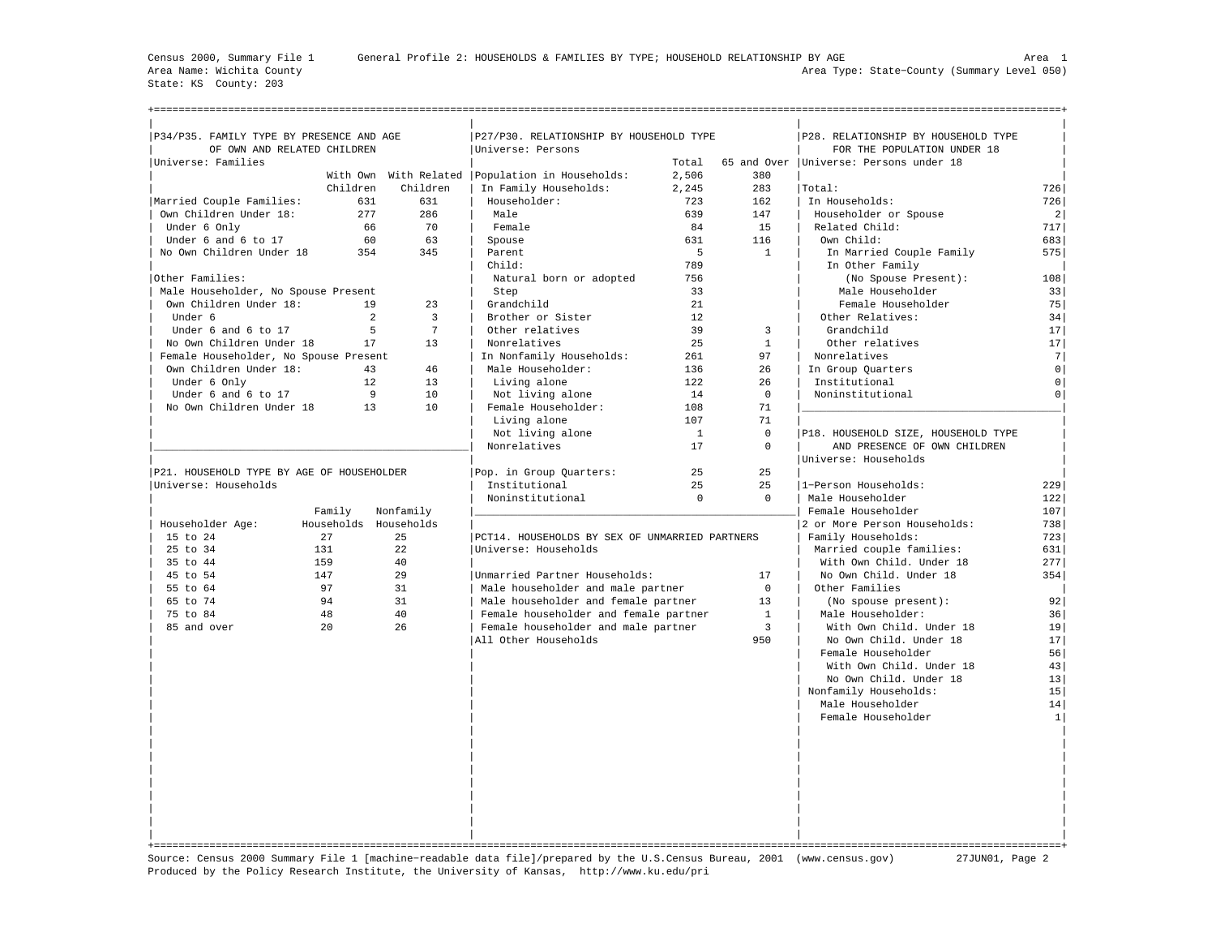State: KS County: 203

+===================================================================================================================================================+

| P34/P35. FAMILY TYPE BY PRESENCE AND AGE                          |            |                                  | P27/P30. RELATIONSHIP BY HOUSEHOLD TYPE        |              |                      | P28. RELATIONSHIP BY HOUSEHOLD TYPE      |                     |
|-------------------------------------------------------------------|------------|----------------------------------|------------------------------------------------|--------------|----------------------|------------------------------------------|---------------------|
| OF OWN AND RELATED CHILDREN                                       |            |                                  | Universe: Persons                              |              |                      | FOR THE POPULATION UNDER 18              |                     |
| Universe: Families                                                |            |                                  |                                                | Total        |                      | 65 and Over   Universe: Persons under 18 |                     |
|                                                                   |            | With Own With Related            | Population in Households:                      | 2,506        | 380                  |                                          |                     |
|                                                                   | Children   | Children                         | In Family Households:                          | 2,245        | 283                  | Total:                                   | 726                 |
| Married Couple Families:                                          | 631        | 631                              | Householder:                                   | 723          | 162                  | In Households:                           | 726                 |
| Own Children Under 18:                                            | 277        | 286                              | Male                                           | 639          | 147                  | Householder or Spouse                    | $\overline{2}$      |
| Under 6 Only                                                      | 66         | 70                               | Female                                         | 84           | 15                   | Related Child:                           | 717                 |
| Under 6 and 6 to 17                                               | 60         | 63                               | Spouse                                         | 631          | 116                  | Own Child:                               | 683                 |
| No Own Children Under 18                                          | 354        | 345                              | Parent                                         | $5^{\circ}$  | $\mathbf{1}$         | In Married Couple Family                 | 575                 |
|                                                                   |            |                                  | Child:                                         | 789          |                      | In Other Family                          |                     |
| Other Families:                                                   |            |                                  | Natural born or adopted                        | 756          |                      | (No Spouse Present):                     | 108                 |
| Male Householder, No Spouse Present                               |            |                                  | Step                                           | 33           |                      | Male Householder                         | 33                  |
| Own Children Under 18:                                            | 19         | 23                               | Grandchild                                     | 21           |                      | Female Householder                       | 75                  |
| Under 6                                                           |            | $\overline{3}$<br>$\overline{a}$ | Brother or Sister                              | 12           |                      | Other Relatives:                         | 34                  |
| Under 6 and 6 to 17                                               |            | 5<br>$\overline{7}$              | Other relatives                                | 39           | $\overline{3}$       | Grandchild                               | 17                  |
| No Own Children Under 18                                          | 17         | 13                               | Nonrelatives                                   | 2.5          | $\mathbf{1}$         | Other relatives                          | 17                  |
| Female Householder, No Spouse Present                             |            |                                  | In Nonfamily Households:                       | 261          | 97                   | Nonrelatives                             | 7                   |
| Own Children Under 18:                                            |            | 46<br>43                         | Male Householder:                              | 136          | 26                   | In Group Quarters                        | $\mathsf{O}\xspace$ |
| Under 6 Only                                                      | 12         | 13                               | Living alone                                   | 122          | 26                   | Institutional                            | $\mathsf 0$         |
| Under 6 and 6 to 17                                               |            | 9<br>10                          | Not living alone                               | 14           | $\mathbf 0$          | Noninstitutional                         | $\mathsf{O}\xspace$ |
| No Own Children Under 18                                          | 13         | 10                               | Female Householder:                            | 108          | 71                   |                                          |                     |
|                                                                   |            |                                  | Living alone                                   | 107          | 71                   |                                          |                     |
|                                                                   |            |                                  | Not living alone                               | $\mathbf{1}$ | $\Omega$<br>$\Omega$ | P18. HOUSEHOLD SIZE, HOUSEHOLD TYPE      |                     |
|                                                                   |            |                                  | Nonrelatives                                   | 17           |                      | AND PRESENCE OF OWN CHILDREN             |                     |
|                                                                   |            |                                  |                                                |              |                      | Universe: Households                     |                     |
| P21. HOUSEHOLD TYPE BY AGE OF HOUSEHOLDER<br>Universe: Households |            |                                  | Pop. in Group Quarters:<br>Institutional       | 25<br>25     | 25<br>25             | 1-Person Households:                     | 229                 |
|                                                                   |            |                                  |                                                | $\Omega$     | $\Omega$             |                                          |                     |
|                                                                   | Family     | Nonfamily                        | Noninstitutional                               |              |                      | Male Householder<br>Female Householder   | 122<br>107          |
| Householder Age:                                                  | Households | Households                       |                                                |              |                      | 2 or More Person Households:             | 738                 |
| 15 to 24                                                          | 27         | 25                               | PCT14. HOUSEHOLDS BY SEX OF UNMARRIED PARTNERS |              |                      | Family Households:                       | 723                 |
| 25 to 34                                                          | 131        | 22                               | Universe: Households                           |              |                      | Married couple families:                 | 631                 |
| 35 to 44                                                          | 159        | 40                               |                                                |              |                      | With Own Child. Under 18                 | 277                 |
| 45 to 54                                                          | 147        | 29                               | Unmarried Partner Households:                  |              | 17                   | No Own Child. Under 18                   | 354                 |
| 55 to 64                                                          | 97         | 31                               | Male householder and male partner              |              | $\Omega$             | Other Families                           |                     |
| 65 to 74                                                          | 94         | 31                               | Male householder and female partner            |              | 13                   | (No spouse present):                     | 92                  |
| 75 to 84                                                          | 48         | 40                               | Female householder and female partner          |              | $\mathbf{1}$         | Male Householder:                        | 36                  |
| 85 and over                                                       | 20         | 26                               | Female householder and male partner            |              | $\overline{3}$       | With Own Child. Under 18                 | 19                  |
|                                                                   |            |                                  | All Other Households                           |              | 950                  | No Own Child. Under 18                   | 17                  |
|                                                                   |            |                                  |                                                |              |                      | Female Householder                       | 56                  |
|                                                                   |            |                                  |                                                |              |                      | With Own Child. Under 18                 | 43                  |
|                                                                   |            |                                  |                                                |              |                      | No Own Child. Under 18                   | 13                  |
|                                                                   |            |                                  |                                                |              |                      | Nonfamily Households:                    | 15                  |
|                                                                   |            |                                  |                                                |              |                      | Male Householder                         | 14                  |
|                                                                   |            |                                  |                                                |              |                      | Female Householder                       | $\mathbf{1}$        |
|                                                                   |            |                                  |                                                |              |                      |                                          |                     |
|                                                                   |            |                                  |                                                |              |                      |                                          |                     |
|                                                                   |            |                                  |                                                |              |                      |                                          |                     |
|                                                                   |            |                                  |                                                |              |                      |                                          |                     |
|                                                                   |            |                                  |                                                |              |                      |                                          |                     |
|                                                                   |            |                                  |                                                |              |                      |                                          |                     |
|                                                                   |            |                                  |                                                |              |                      |                                          |                     |
|                                                                   |            |                                  |                                                |              |                      |                                          |                     |
|                                                                   |            |                                  |                                                |              |                      |                                          |                     |
|                                                                   |            |                                  |                                                |              |                      |                                          |                     |

Source: Census 2000 Summary File 1 [machine−readable data file]/prepared by the U.S.Census Bureau, 2001 (www.census.gov) 27JUN01, Page 2 Produced by the Policy Research Institute, the University of Kansas, http://www.ku.edu/pri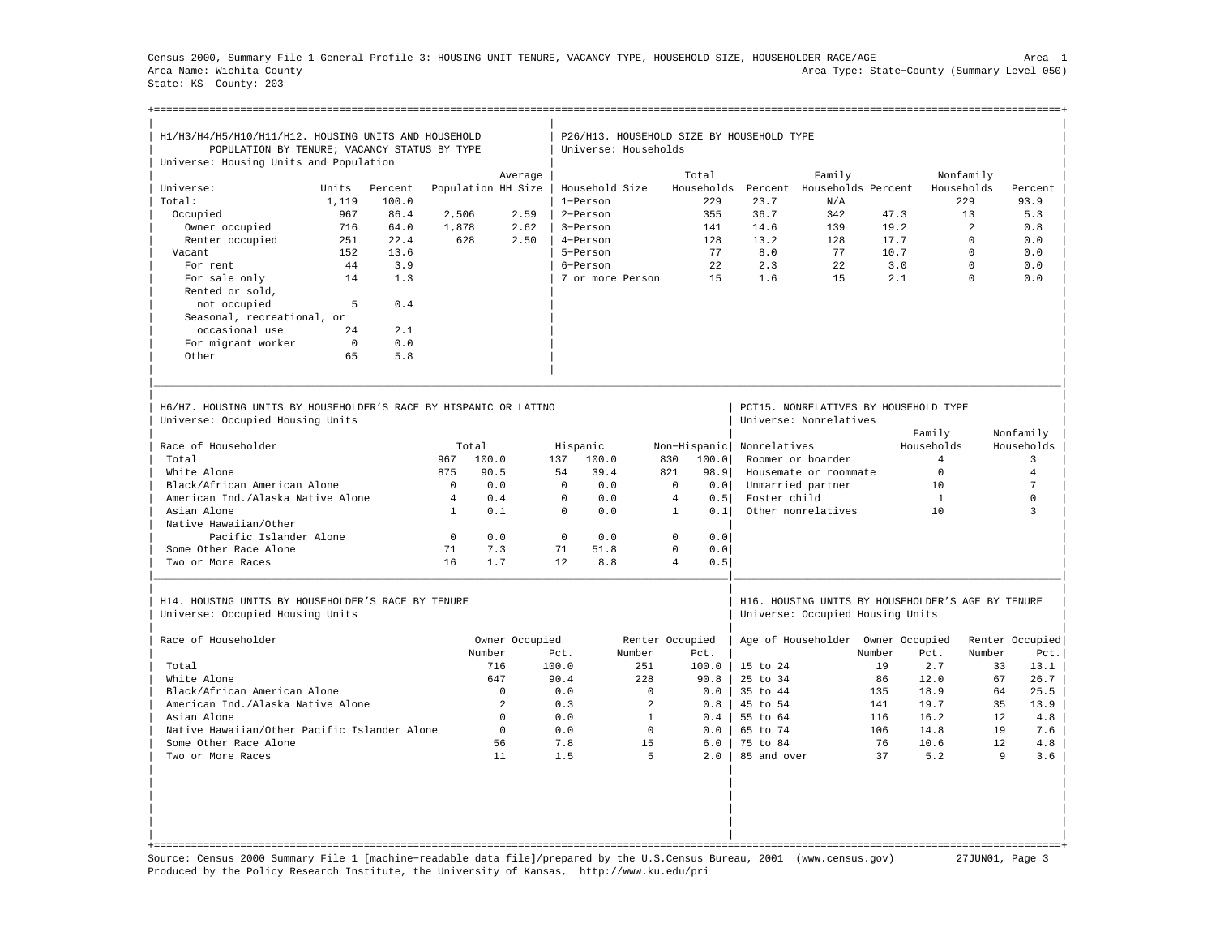Census 2000, Summary File 1 General Profile 3: HOUSING UNIT TENURE, VACANCY TYPE, HOUSEHOLD SIZE, HOUSEHOLDER RACE/AGE Area 1 Area Name: Wichita County Area Type: State−County (Summary Level 050) State: KS County: 203

+===================================================================================================================================================+

| H1/H3/H4/H5/H10/H11/H12. HOUSING UNITS AND HOUSEHOLD                                                 |          |         |                |                    |          |                |                      | P26/H13. HOUSEHOLD SIZE BY HOUSEHOLD TYPE |                     |                                                                                       |        |                |                |                 |
|------------------------------------------------------------------------------------------------------|----------|---------|----------------|--------------------|----------|----------------|----------------------|-------------------------------------------|---------------------|---------------------------------------------------------------------------------------|--------|----------------|----------------|-----------------|
| POPULATION BY TENURE; VACANCY STATUS BY TYPE                                                         |          |         |                |                    |          |                | Universe: Households |                                           |                     |                                                                                       |        |                |                |                 |
| Universe: Housing Units and Population                                                               |          |         |                |                    |          |                |                      |                                           |                     |                                                                                       |        |                |                |                 |
|                                                                                                      |          |         |                | Average            |          |                |                      | Total                                     |                     | Family                                                                                |        |                | Nonfamily      |                 |
| Universe:                                                                                            | Units    | Percent |                | Population HH Size |          | Household Size |                      | Households                                | Percent             | Households Percent                                                                    |        |                | Households     | Percent         |
| Total:                                                                                               | 1,119    | 100.0   |                |                    |          | 1-Person       |                      | 229                                       | 23.7                | N/A                                                                                   |        |                | 229            | 93.9            |
| Occupied                                                                                             | 967      | 86.4    | 2,506          |                    | 2.59     | 2-Person       |                      | 355                                       | 36.7                | 342                                                                                   | 47.3   |                | 13             | 5.3             |
| Owner occupied                                                                                       | 716      | 64.0    | 1,878          |                    | 2.62     | 3-Person       |                      | 141                                       | 14.6                | 139                                                                                   | 19.2   |                | $\overline{a}$ | 0.8             |
| Renter occupied                                                                                      | 251      | 22.4    | 628            |                    | 2.50     | 4-Person       |                      | 128                                       | 13.2                | 128                                                                                   | 17.7   |                | $\Omega$       | 0.0             |
| Vacant                                                                                               | 152      | 13.6    |                |                    |          | 5-Person       |                      | 77                                        | 8.0                 | 77                                                                                    | 10.7   |                | $\Omega$       | 0.0             |
| For rent                                                                                             | 44       | 3.9     |                |                    |          | 6-Person       |                      | 2.2.                                      | 2.3                 | 2.2.                                                                                  | 3.0    |                | $\Omega$       | 0.0             |
| For sale only                                                                                        | 14       | 1.3     |                |                    |          |                | 7 or more Person     | 15                                        | 1.6                 | 15                                                                                    | 2.1    |                | $\Omega$       | 0.0             |
| Rented or sold,                                                                                      |          |         |                |                    |          |                |                      |                                           |                     |                                                                                       |        |                |                |                 |
| not occupied                                                                                         | 5        | 0.4     |                |                    |          |                |                      |                                           |                     |                                                                                       |        |                |                |                 |
| Seasonal, recreational, or                                                                           |          |         |                |                    |          |                |                      |                                           |                     |                                                                                       |        |                |                |                 |
| occasional use                                                                                       | 2.4      | 2.1     |                |                    |          |                |                      |                                           |                     |                                                                                       |        |                |                |                 |
| For migrant worker                                                                                   | $\Omega$ | 0.0     |                |                    |          |                |                      |                                           |                     |                                                                                       |        |                |                |                 |
| Other                                                                                                | 65       | 5.8     |                |                    |          |                |                      |                                           |                     |                                                                                       |        |                |                |                 |
|                                                                                                      |          |         |                |                    |          |                |                      |                                           |                     |                                                                                       |        |                |                |                 |
| H6/H7, HOUSING UNITS BY HOUSEHOLDER'S RACE BY HISPANIC OR LATINO<br>Universe: Occupied Housing Units |          |         |                |                    |          |                |                      |                                           |                     | PCT15. NONRELATIVES BY HOUSEHOLD TYPE<br>Universe: Nonrelatives                       |        |                |                |                 |
|                                                                                                      |          |         |                |                    |          |                |                      |                                           |                     |                                                                                       |        | Family         |                | Nonfamily       |
| Race of Householder                                                                                  |          |         | Total          |                    |          | Hispanic       |                      | Non-Hispanic                              | Nonrelatives        |                                                                                       |        | Households     |                | Households      |
| Total                                                                                                |          |         | 967            | 100.0              | 137      | 100.0          |                      | 830<br>100.0                              |                     | Roomer or boarder                                                                     |        | $\overline{4}$ |                | $\overline{3}$  |
| White Alone                                                                                          |          |         | 875            | 90.5               | 54       | 39.4           |                      | 821<br>98.9                               |                     | Housemate or roommate                                                                 |        | $\Omega$       |                | $\overline{4}$  |
| Black/African American Alone                                                                         |          |         | $\Omega$       | 0.0                | $\Omega$ | 0.0            |                      | $\Omega$<br>0.0                           |                     | Unmarried partner                                                                     |        | 10             |                | $7\phantom{.0}$ |
| American Ind./Alaska Native Alone                                                                    |          |         | $\overline{4}$ | 0.4                | $\Omega$ | 0.0            |                      | $\overline{4}$<br>0.5                     | Foster child        |                                                                                       |        | $\mathbf{1}$   |                | 0               |
| Asian Alone                                                                                          |          |         | $\mathbf{1}$   | 0.1                | $\Omega$ | 0.0            |                      | $\mathbf{1}$<br>0.1                       |                     | Other nonrelatives                                                                    |        | 10             |                | $\mathbf{z}$    |
| Native Hawaiian/Other                                                                                |          |         |                |                    |          |                |                      |                                           |                     |                                                                                       |        |                |                |                 |
| Pacific Islander Alone                                                                               |          |         | $\Omega$       | 0.0                | $\Omega$ | 0.0            |                      | $\Omega$<br>0.0                           |                     |                                                                                       |        |                |                |                 |
| Some Other Race Alone                                                                                |          |         | 71             | 7.3                | 71       | 51.8           |                      | $\mathbf 0$<br>0.0                        |                     |                                                                                       |        |                |                |                 |
| Two or More Races                                                                                    |          |         | 16             | 1.7                | 12       | 8.8            |                      | $\overline{4}$<br>0.5                     |                     |                                                                                       |        |                |                |                 |
|                                                                                                      |          |         |                |                    |          |                |                      |                                           |                     |                                                                                       |        |                |                |                 |
| H14. HOUSING UNITS BY HOUSEHOLDER'S RACE BY TENURE<br>Universe: Occupied Housing Units               |          |         |                |                    |          |                |                      |                                           |                     | H16. HOUSING UNITS BY HOUSEHOLDER'S AGE BY TENURE<br>Universe: Occupied Housing Units |        |                |                |                 |
|                                                                                                      |          |         |                |                    |          |                |                      |                                           |                     |                                                                                       |        |                |                |                 |
| Race of Householder                                                                                  |          |         |                | Owner Occupied     |          |                |                      | Renter Occupied                           |                     | Age of Householder Owner Occupied                                                     |        |                |                | Renter Occupied |
|                                                                                                      |          |         |                | Number             | Pct.     |                | Number               | Pct.                                      |                     |                                                                                       | Number | Pct.           | Number         | Pct.            |
| Total                                                                                                |          |         |                | 716                | 100.0    |                | 251                  | 100.0                                     | $15 \text{ to } 24$ |                                                                                       | 19     | 2.7            | 33             | 13.1            |
| White Alone                                                                                          |          |         |                | 647                | 90.4     |                | 228                  | 90.8                                      | 25 to 34            |                                                                                       | 86     | 12.0           | 67             | 26.7            |
| Black/African American Alone                                                                         |          |         |                | $\Omega$           | 0.0      |                | $\Omega$             | 0.0                                       | 35 to 44            |                                                                                       | 135    | 18.9           | 64             | 25.5            |
| American Ind./Alaska Native Alone                                                                    |          |         |                | 2                  | 0.3      |                | 2                    | 0.8                                       | 45 to 54            |                                                                                       | 141    | 19.7           | 35             | 13.9            |
| Asian Alone                                                                                          |          |         |                | $\Omega$           | 0.0      |                | $\mathbf{1}$         | 0.4                                       | 55 to 64            |                                                                                       | 116    | 16.2           | 12             | 4.8             |
| Native Hawaiian/Other Pacific Islander Alone                                                         |          |         |                | $\Omega$           | 0.0      |                | $\Omega$             | 0.0                                       | 65 to 74            |                                                                                       | 106    | 14.8           | 19             | 7.6             |
| Some Other Race Alone                                                                                |          |         |                | 56                 | 7.8      |                | 15                   | 6.0                                       | 75 to 84            |                                                                                       | 76     | 10.6           | 12.            | 4.8             |
| Two or More Races                                                                                    |          |         |                | 11                 | 1.5      |                | 5                    | 2.0                                       | 85 and over         |                                                                                       | 37     | 5.2            | 9              | 3.6             |
|                                                                                                      |          |         |                |                    |          |                |                      |                                           |                     |                                                                                       |        |                |                |                 |
|                                                                                                      |          |         |                |                    |          |                |                      |                                           |                     |                                                                                       |        |                |                |                 |

Source: Census 2000 Summary File 1 [machine−readable data file]/prepared by the U.S.Census Bureau, 2001 (www.census.gov) 27JUN01, Page 3 Produced by the Policy Research Institute, the University of Kansas, http://www.ku.edu/pri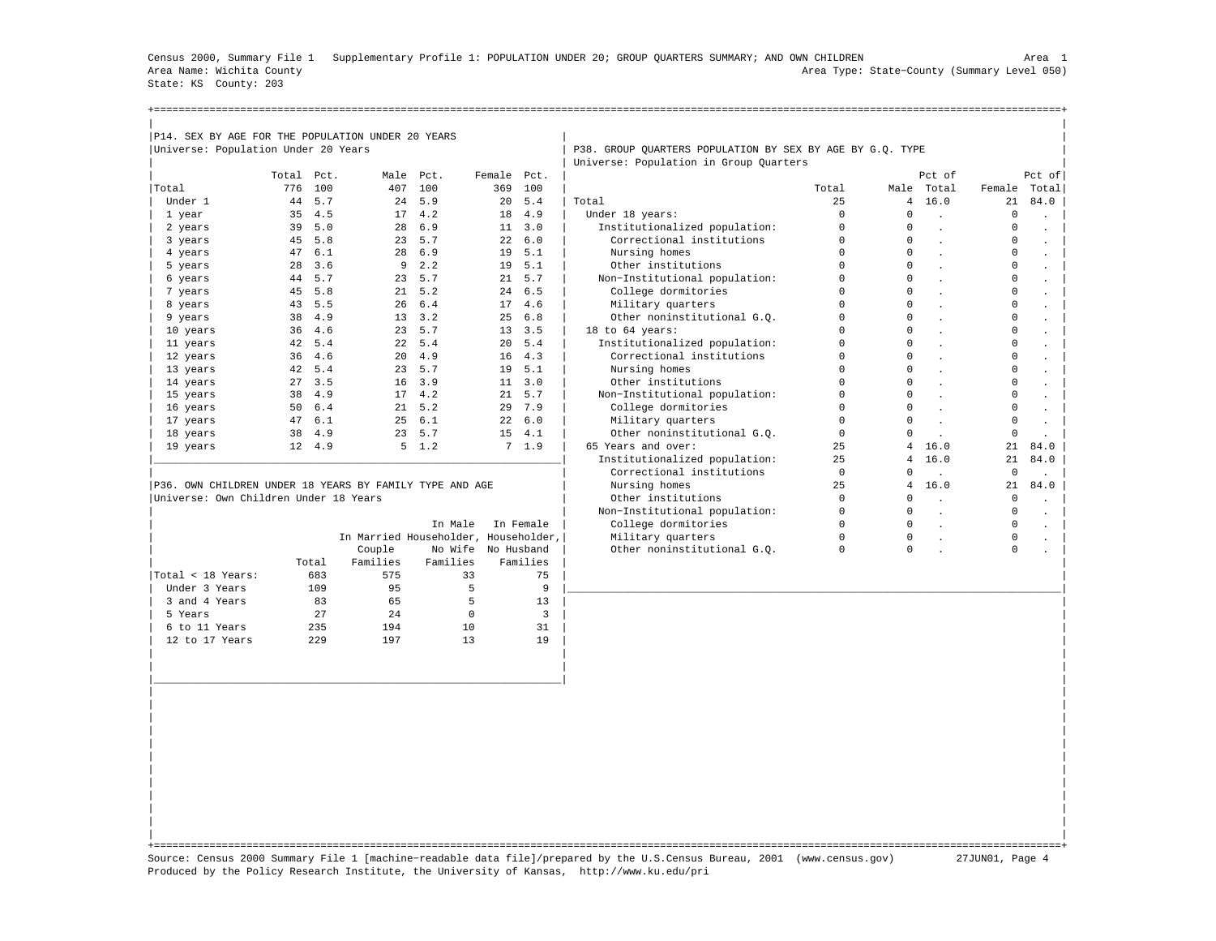Census 2000, Summary File 1 Supplementary Profile 1: POPULATION UNDER 20; GROUP QUARTERS SUMMARY; AND OWN CHILDREN Area 1 Area Name: Wichita County Area Type: State−County (Summary Level 050) State: KS County: 203

| P14. SEX BY AGE FOR THE POPULATION UNDER 20 YEARS       |       |        |                                      |                    |             |                |                                                           |             |                |              |              |                      |
|---------------------------------------------------------|-------|--------|--------------------------------------|--------------------|-------------|----------------|-----------------------------------------------------------|-------------|----------------|--------------|--------------|----------------------|
| Universe: Population Under 20 Years                     |       |        |                                      |                    |             |                | P38. GROUP OUARTERS POPULATION BY SEX BY AGE BY G.O. TYPE |             |                |              |              |                      |
|                                                         |       |        |                                      |                    |             |                | Universe: Population in Group Quarters                    |             |                |              |              |                      |
|                                                         | Total | Pct.   |                                      | Male Pct.          | Female Pct. |                |                                                           |             |                | Pct. of      |              | Pct of               |
| Total                                                   | 776   | 100    | 407                                  | 100                | 369         | 100            |                                                           | Total       |                | Male Total   | Female Total |                      |
| Under 1                                                 | 44    | 5.7    | 24                                   | 5.9                | 20          | 5.4            | Total                                                     | 25          | $\overline{4}$ | 16.0         | 21           | 84.0                 |
| 1 year                                                  | 35    | 4.5    |                                      | 17, 4.2            |             | 18 4.9         | Under 18 years:                                           | $\Omega$    | $\Omega$       | $\sim$       | $\Omega$     |                      |
| 2 years                                                 | 39    | 5.0    | 28                                   | 6.9                |             | 11, 3.0        | Institutionalized population:                             | $\Omega$    | $\Omega$       |              | $\Omega$     |                      |
| 3 years                                                 | 45    | 5.8    |                                      | 23, 5.7            |             | 226.0          | Correctional institutions                                 | $\Omega$    | $\Omega$       |              | 0            |                      |
| 4 years                                                 | 47    | 6.1    | 28                                   | 6.9                | 19          | 5.1            | Nursing homes                                             | 0           | $\Omega$       |              | 0            |                      |
| 5 years                                                 | 28    | 3.6    | 9                                    | 2.2                |             | 19, 5.1        | Other institutions                                        | 0           | $\Omega$       |              | 0            |                      |
| 6 years                                                 | 44    | 5.7    |                                      | 23 5.7             |             | 21, 5.7        | Non-Institutional population:                             | 0           | $\Omega$       |              | $\Omega$     |                      |
| 7 years                                                 | 45    | 5.8    |                                      | 21, 5.2            |             | $24 \quad 6.5$ | College dormitories                                       | $\Omega$    | $\Omega$       |              | $\Omega$     |                      |
| 8 years                                                 | 43    | 5.5    | 26                                   | 6.4                |             | 17, 4.6        | Military quarters                                         | $\Omega$    | $\Omega$       |              | $\Omega$     |                      |
| 9 years                                                 | 38    | 4.9    |                                      | $13 \quad 3.2$     | 25          | 6.8            | Other noninstitutional G.O.                               | $\Omega$    | $\Omega$       |              | $\Omega$     |                      |
| 10 years                                                | 36    | 4.6    |                                      | 23, 5.7            |             | 13, 3.5        | 18 to 64 years:                                           | $\Omega$    | $\Omega$       |              | $\Omega$     |                      |
| 11 years                                                | 42    | 5.4    |                                      | 22, 5.4            | 20          | 5.4            | Institutionalized population:                             | $\Omega$    | $\cap$         |              | $\Omega$     |                      |
| 12 years                                                | 36    | 4.6    |                                      | $20 \quad 4.9$     | 16          | 4.3            | Correctional institutions                                 | $\Omega$    | $\cap$         |              | $\circ$      |                      |
| 13 years                                                | 42    | 5.4    | 23                                   | 5.7                | 19          | 5.1            | Nursing homes                                             | 0           | $\Omega$       |              | 0            |                      |
| 14 years                                                | 27    | 3.5    | 16                                   | 3.9                |             | $11 \quad 3.0$ | Other institutions                                        | 0           | $\Omega$       |              | 0            |                      |
| 15 years                                                | 38    | 4.9    |                                      | 17, 4.2            |             | 21, 5.7        | Non-Institutional population:                             | 0           | $\Omega$       |              | 0            |                      |
| 16 years                                                | 50    | 6.4    |                                      | $21 \quad 5.2$     | 29          | 7.9            | College dormitories                                       | $\Omega$    | $\Omega$       | $\sim$       | $\Omega$     |                      |
| 17 years                                                | 47    | 6.1    |                                      | 256.1              | 22          | 6.0            | Military quarters                                         | 0           | $\Omega$       | $\mathbf{r}$ | 0            |                      |
| 18 years                                                | 38    | 4.9    |                                      | 23 5.7             | 15          | 4.1            | Other noninstitutional G.O.                               | $\mathbf 0$ | $\cap$         |              | $\mathbf 0$  |                      |
| 19 years                                                |       | 12 4.9 |                                      | $5 \quad 1.2$      |             | 7, 1.9         | 65 Years and over:                                        | 25          | 4              | 16.0         | 21           | 84.0                 |
|                                                         |       |        |                                      |                    |             |                | Institutionalized population:                             | 25          | $\overline{4}$ | 16.0         | 21           | 84.0                 |
|                                                         |       |        |                                      |                    |             |                | Correctional institutions                                 | $\mathbf 0$ | $\Omega$       |              | $\mathbf 0$  |                      |
| P36. OWN CHILDREN UNDER 18 YEARS BY FAMILY TYPE AND AGE |       |        |                                      |                    |             |                | Nursing homes                                             | 25          | 4              | 16.0         | 21           | 84.0                 |
| Universe: Own Children Under 18 Years                   |       |        |                                      |                    |             |                | Other institutions                                        | $\mathbf 0$ | $\Omega$       |              | $\mathbf 0$  |                      |
|                                                         |       |        |                                      |                    |             |                | Non-Institutional population:                             | 0           | $\Omega$       |              | 0            |                      |
|                                                         |       |        |                                      | In Male            |             | In Female      | College dormitories                                       | 0           | $\Omega$       | $\mathbf{r}$ | 0            | $\ddot{\phantom{0}}$ |
|                                                         |       |        | In Married Householder, Householder, |                    |             |                | Military quarters                                         | 0           | $\Omega$       | $\mathbf{r}$ | 0            |                      |
|                                                         |       |        | Couple                               | No Wife No Husband |             |                | Other noninstitutional G.O.                               | $\Omega$    | $\Omega$       |              | $\Omega$     |                      |
|                                                         |       | Total  | Families                             | Families           |             | Families       |                                                           |             |                |              |              |                      |
| Total < 18 Years:                                       |       | 683    | 575                                  | 33                 |             | 75             |                                                           |             |                |              |              |                      |
| Under 3 Years                                           |       | 109    | 95                                   | 5                  |             | 9              |                                                           |             |                |              |              |                      |
| 3 and 4 Years                                           |       | 83     | 65                                   | 5                  |             | 13             |                                                           |             |                |              |              |                      |
| 5 Years                                                 |       | 2.7    | 2.4                                  | $\Omega$           |             | 3              |                                                           |             |                |              |              |                      |

| | +===================================================================================================================================================+ Source: Census 2000 Summary File 1 [machine−readable data file]/prepared by the U.S.Census Bureau, 2001 (www.census.gov) 27JUN01, Page 4 Produced by the Policy Research Institute, the University of Kansas, http://www.ku.edu/pri

| 6 to 11 Years 235 194 10 31 | | 12 to 17 Years 229 197 13 19 | | | | | | | | |\_\_\_\_\_\_\_\_\_\_\_\_\_\_\_\_\_\_\_\_\_\_\_\_\_\_\_\_\_\_\_\_\_\_\_\_\_\_\_\_\_\_\_\_\_\_\_\_\_\_\_\_\_\_\_\_\_\_\_\_\_\_\_\_\_\_| | | | | | | | | | | | | | | | | | | | | | | |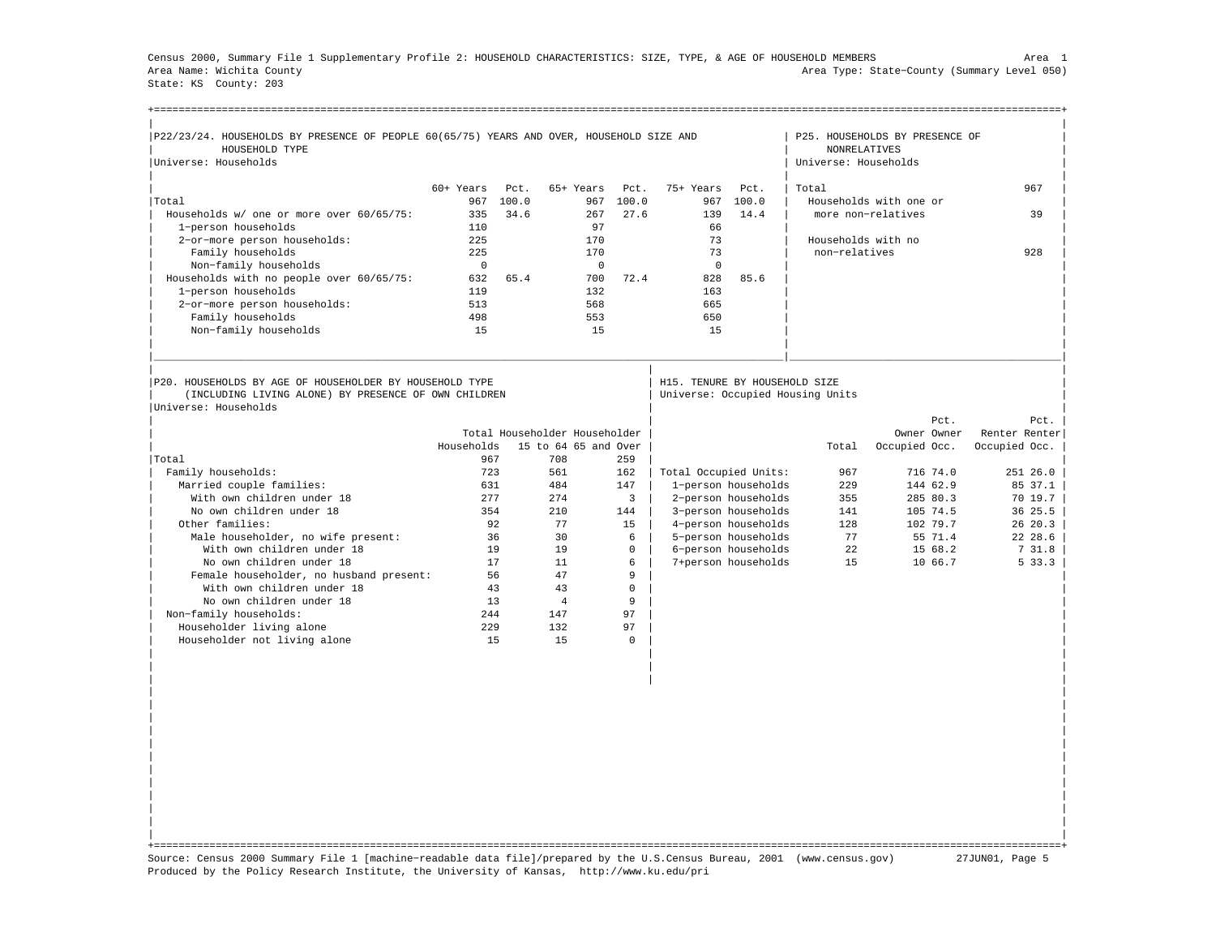Census 2000, Summary File 1 Supplementary Profile 2: HOUSEHOLD CHARACTERISTICS: SIZE, TYPE, & AGE OF HOUSEHOLD MEMBERS Area 1 Area Name: Wichita County Area Type: State−County (Summary Level 050) State: KS County: 203

| P22/23/24. HOUSEHOLDS BY PRESENCE OF PEOPLE 60(65/75) YEARS AND OVER, HOUSEHOLD SIZE AND |             |       |                               |                |                       |                     |                                             | P25. HOUSEHOLDS BY PRESENCE OF |                                                                    |
|------------------------------------------------------------------------------------------|-------------|-------|-------------------------------|----------------|-----------------------|---------------------|---------------------------------------------|--------------------------------|--------------------------------------------------------------------|
| HOUSEHOLD TYPE<br>Universe: Households                                                   |             |       |                               |                |                       |                     | <b>NONRELATIVES</b><br>Universe: Households |                                |                                                                    |
|                                                                                          |             |       |                               |                |                       |                     |                                             |                                |                                                                    |
|                                                                                          | $60+$ Years | Pct.  | 65+ Years                     | Pct.           | 75+ Years             | Pct.                | Total                                       |                                | 967                                                                |
| Total                                                                                    | 967         | 100.0 | 967                           | 100.0          | 967                   | 100.0               |                                             | Households with one or         |                                                                    |
| Households w/ one or more over 60/65/75:                                                 | 335         | 34.6  | 267                           | 27.6           | 139                   | 14.4                |                                             | more non-relatives             | 39                                                                 |
| 1-person households                                                                      | 110         |       | 97                            |                | 66                    |                     |                                             |                                |                                                                    |
| 2-or-more person households:                                                             | 225         |       | 170                           |                | 73                    |                     | Households with no                          |                                |                                                                    |
| Family households                                                                        | 225         |       | 170                           |                | 73                    |                     | non-relatives                               |                                | 928                                                                |
| Non-family households                                                                    | $\Omega$    |       | $\Omega$                      |                | $\mathbf{0}$          |                     |                                             |                                |                                                                    |
| Households with no people over 60/65/75:                                                 | 632         | 65.4  | 700                           | 72.4           | 828                   | 85.6                |                                             |                                |                                                                    |
| 1-person households                                                                      | 119         |       | 132                           |                | 163                   |                     |                                             |                                |                                                                    |
| 2-or-more person households:                                                             | 513         |       | 568                           |                | 665                   |                     |                                             |                                |                                                                    |
| Family households                                                                        | 498         |       | 553                           |                | 650                   |                     |                                             |                                |                                                                    |
| Non-family households                                                                    | 15          |       | 15                            |                | 15                    |                     |                                             |                                |                                                                    |
| (INCLUDING LIVING ALONE) BY PRESENCE OF OWN CHILDREN                                     |             |       |                               |                |                       |                     |                                             |                                |                                                                    |
| Universe: Households                                                                     |             |       |                               |                |                       |                     | Universe: Occupied Housing Units            |                                |                                                                    |
|                                                                                          |             |       |                               |                |                       |                     |                                             | Pct.                           | Pct.                                                               |
|                                                                                          |             |       | Total Householder Householder |                |                       |                     |                                             | Owner Owner                    |                                                                    |
|                                                                                          | Households  |       | 15 to 64 65 and Over          |                |                       |                     | Total                                       | Occupied Occ.                  | Occupied Occ.                                                      |
| Total                                                                                    | 967         |       | 708                           | 259            |                       |                     |                                             |                                |                                                                    |
| Family households:                                                                       | 723         |       | 561                           | 162            | Total Occupied Units: |                     | 967                                         | 716 74.0                       | 251 26.0                                                           |
| Married couple families:                                                                 | 631         |       | 484                           | 147            |                       | 1-person households | 229                                         | 144 62.9                       |                                                                    |
| With own children under 18                                                               | 277         |       | 274                           | $\overline{3}$ |                       | 2-person households | 355                                         | 285 80.3                       |                                                                    |
| No own children under 18                                                                 | 354         |       | 210                           | 144            |                       | 3-person households | 141                                         | 105 74.5                       | 36 25.5                                                            |
| Other families:                                                                          | 92          |       | 77                            | 15             |                       | 4-person households | 128                                         | 102 79.7                       |                                                                    |
| Male householder, no wife present:                                                       | 36          |       | 30                            | 6              |                       | 5-person households | 77                                          | 55 71.4                        |                                                                    |
| With own children under 18                                                               | 19          |       | 19                            | 0              |                       | 6-person households | 22                                          | 15 68.2                        | 731.8                                                              |
| No own children under 18                                                                 | 17          |       | 11                            | 6              |                       | 7+person households | 1.5                                         | 10 66.7                        |                                                                    |
| Female householder, no husband present:                                                  |             | 56    | 47                            | 9              |                       |                     |                                             |                                |                                                                    |
| With own children under 18                                                               | 43          |       | 43                            | 0              |                       |                     |                                             |                                |                                                                    |
| No own children under 18                                                                 | 13          |       | $\overline{4}$                | 9              |                       |                     |                                             |                                |                                                                    |
| Non-family households:                                                                   | 244         |       | 147                           | 97             |                       |                     |                                             |                                |                                                                    |
| Householder living alone<br>Householder not living alone                                 | 229<br>15   |       | 132<br>1.5                    | 97<br>$\Omega$ |                       |                     |                                             |                                | Renter Renter<br>85 37.1<br>7019.7<br>26 20.3<br>22 28.6<br>5 33.3 |

| | +===================================================================================================================================================+ Source: Census 2000 Summary File 1 [machine−readable data file]/prepared by the U.S.Census Bureau, 2001 (www.census.gov) 27JUN01, Page 5 Produced by the Policy Research Institute, the University of Kansas, http://www.ku.edu/pri

| | | | | | | | | | | | | | | | | | | | | |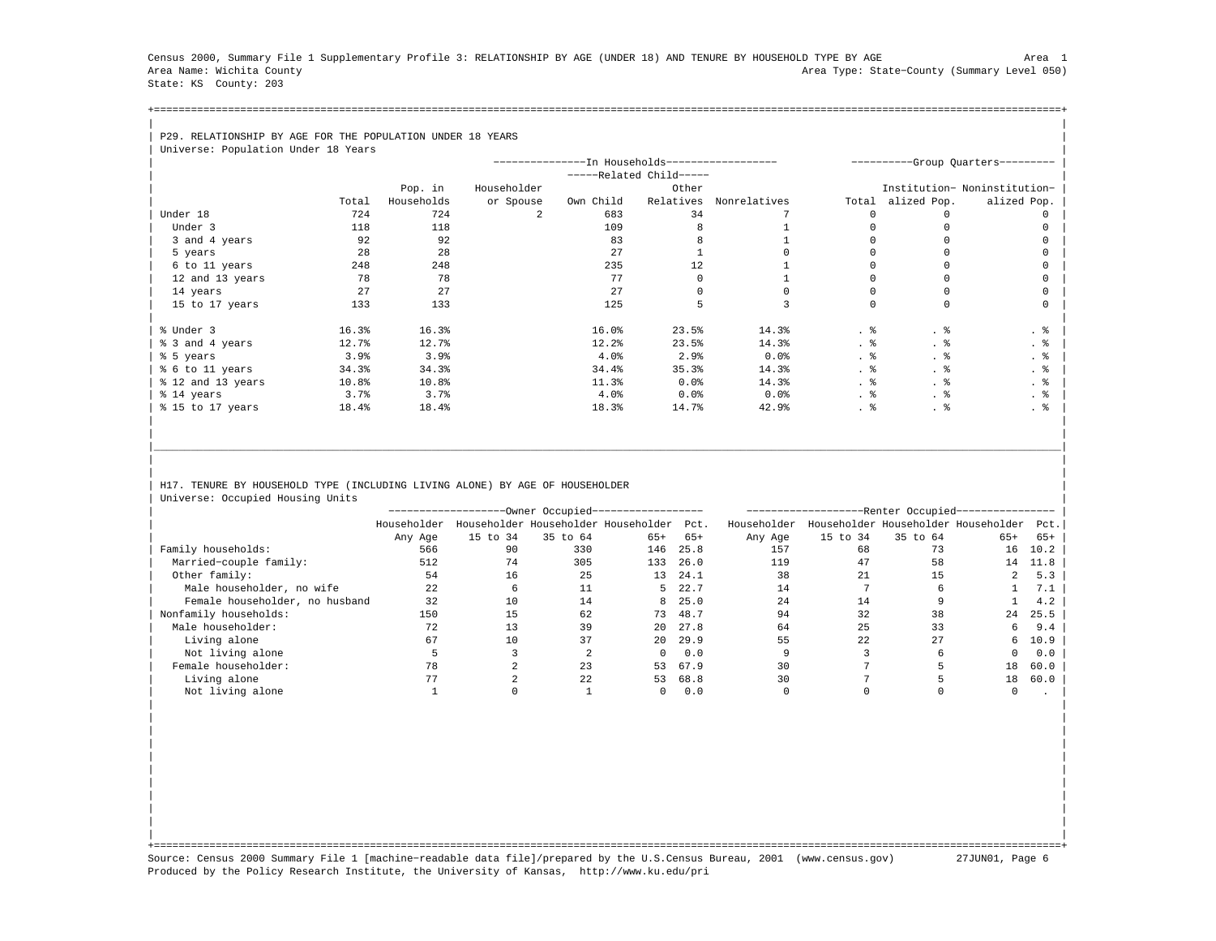Census 2000, Summary File 1 Supplementary Profile 3: RELATIONSHIP BY AGE (UNDER 18) AND TENURE BY HOUSEHOLD TYPE BY AGE Area 1 Area Name: Wichita County Area Type: State−County (Summary Level 050) State: KS County: 203

+===================================================================================================================================================+| |

## | P29. RELATIONSHIP BY AGE FOR THE POPULATION UNDER 18 YEARS

| Universe: Population Under 18 Years |       |            |             |                                               |                       |              |       |             |                                   |
|-------------------------------------|-------|------------|-------------|-----------------------------------------------|-----------------------|--------------|-------|-------------|-----------------------------------|
|                                     |       |            |             | --------------In Households------------------ |                       |              |       |             | ----------Group Quarters--------- |
|                                     |       |            |             |                                               | $---Related Child---$ |              |       |             |                                   |
|                                     |       | Pop. in    | Householder |                                               | Other                 |              |       |             | Institution- Noninstitution-      |
|                                     | Total | Households | or Spouse   | Own Child                                     | Relatives             | Nonrelatives | Total | alized Pop. | alized Pop.                       |
| Under 18                            | 724   | 724        | 2.          | 683                                           | 34                    |              |       |             |                                   |
| Under 3                             | 118   | 118        |             | 109                                           |                       |              |       |             |                                   |
| 3 and 4 years                       | 92    | 92         |             | 83                                            |                       |              |       |             |                                   |
| 5 years                             | 28    | 28         |             | 27                                            |                       |              |       |             |                                   |
| 6 to 11 years                       | 248   | 248        |             | 235                                           | 12                    |              |       |             |                                   |
| 12 and 13 years                     | 78    | 78         |             | 77                                            |                       |              |       |             |                                   |
| 14 years                            | 27    | 27         |             | 27                                            |                       |              |       |             |                                   |
| 15 to 17 years                      | 133   | 133        |             | 125                                           |                       |              |       | $\cap$      |                                   |
|                                     |       |            |             |                                               |                       |              |       |             |                                   |
| % Under 3                           | 16.3% | 16.3%      |             | 16.0%                                         | 23.5%                 | 14.3%        | . 응   | . 응         | . 응                               |
| % 3 and 4 years                     | 12.7% | 12.7%      |             | 12.2%                                         | 23.5%                 | 14.3%        | . 응   |             | . 응                               |
| % 5 years                           | 3.9%  | 3.9%       |             | 4.0%                                          | 2.9%                  | 0.0%         | . 응   | . ક         | . 응                               |
| % 6 to 11 years                     | 34.3% | 34.3%      |             | 34.4%                                         | 35.3%                 | 14.3%        | . 응   | . 응         | . 응                               |
| % 12 and 13 years                   | 10.8% | 10.8%      |             | 11.3%                                         | $0.0$ $8$             | 14.3%        | . 응   | . 응         | . 응                               |
| % 14 years                          | 3.7%  | 3.7%       |             | 4.0%                                          | $0.0$ $%$             | 0.0%         |       | . 응         | . 응                               |
| % 15 to 17 years                    | 18.4% | 18.4%      |             | 18.3%                                         | 14.7%                 | 42.9%        | . 응   | . 응         | . 응                               |
|                                     |       |            |             |                                               |                       |              |       |             |                                   |

## H17. TENURE BY HOUSEHOLD TYPE (INCLUDING LIVING ALONE) BY AGE OF HOUSEHOLDER | Universe: Occupied Housing Units |

|                                |             |          | ---Owner Occupied------------------      |              |         |             |          | --Renter Occupied--                 |       |       |
|--------------------------------|-------------|----------|------------------------------------------|--------------|---------|-------------|----------|-------------------------------------|-------|-------|
|                                | Householder |          | Householder Householder Householder Pct. |              |         | Householder |          | Householder Householder Householder |       | Pct.  |
|                                | Any Age     | 15 to 34 | 35 to 64                                 | $65+$        | $65+$   | Any Age     | 15 to 34 | 35 to 64                            | $65+$ | $65+$ |
| Family households:             | 566         | 90       | 330                                      | 146          | 25.8    | 157         | 68       | 73                                  | 16    | 10.2  |
| Married-couple family:         | 512         | 74       | 305                                      | 133          | 26.0    | 119         | 47       | 58                                  | 14    | 11.8  |
| Other family:                  | 54          | 16       | 25                                       | 13           | 24.1    | 38          | 21       | 15                                  | 2     | 5.3   |
| Male householder, no wife      | 22          |          |                                          |              | 5 22.7  | 14          |          |                                     |       | 7.1   |
| Female householder, no husband | 32          | 10       | 14                                       |              | 8, 25.0 | 24          | 14       |                                     |       | 4.2   |
| Nonfamily households:          | 150         |          | 62                                       | 73           | 48.7    | 94          | 32       | 38                                  | 24    | 25.5  |
| Male householder:              | 72          | 13       | 39                                       | 20           | 27.8    | 64          | 25       | 33                                  | 6     | 9.4   |
| Living alone                   | 67          | 10       | 37                                       | $20^{\circ}$ | 29.9    | 55          | 22       | 27                                  | 6     | 10.9  |
| Not living alone               |             |          |                                          | $\Omega$     | 0.0     |             |          | h                                   | 0     | 0.0   |
| Female householder:            | 78          |          | 23                                       | 53           | 67.9    | 30          |          |                                     | 18    | 60.0  |
| Living alone                   |             |          | 22                                       | 53           | 68.8    | 30          |          |                                     | 18    | 60.0  |
| Not living alone               |             |          |                                          |              | 0.0     |             |          |                                     |       |       |

| | | | | | | | | | | | | | | | | | | |

|\_\_\_\_\_\_\_\_\_\_\_\_\_\_\_\_\_\_\_\_\_\_\_\_\_\_\_\_\_\_\_\_\_\_\_\_\_\_\_\_\_\_\_\_\_\_\_\_\_\_\_\_\_\_\_\_\_\_\_\_\_\_\_\_\_\_\_\_\_\_\_\_\_\_\_\_\_\_\_\_\_\_\_\_\_\_\_\_\_\_\_\_\_\_\_\_\_\_\_\_\_\_\_\_\_\_\_\_\_\_\_\_\_\_\_\_\_\_\_\_\_\_\_\_\_\_\_\_\_\_\_\_\_\_\_\_\_\_\_\_\_\_\_\_\_\_\_| | | | |

| | +===================================================================================================================================================+ Source: Census 2000 Summary File 1 [machine−readable data file]/prepared by the U.S.Census Bureau, 2001 (www.census.gov) 27JUN01, Page 6 Produced by the Policy Research Institute, the University of Kansas, http://www.ku.edu/pri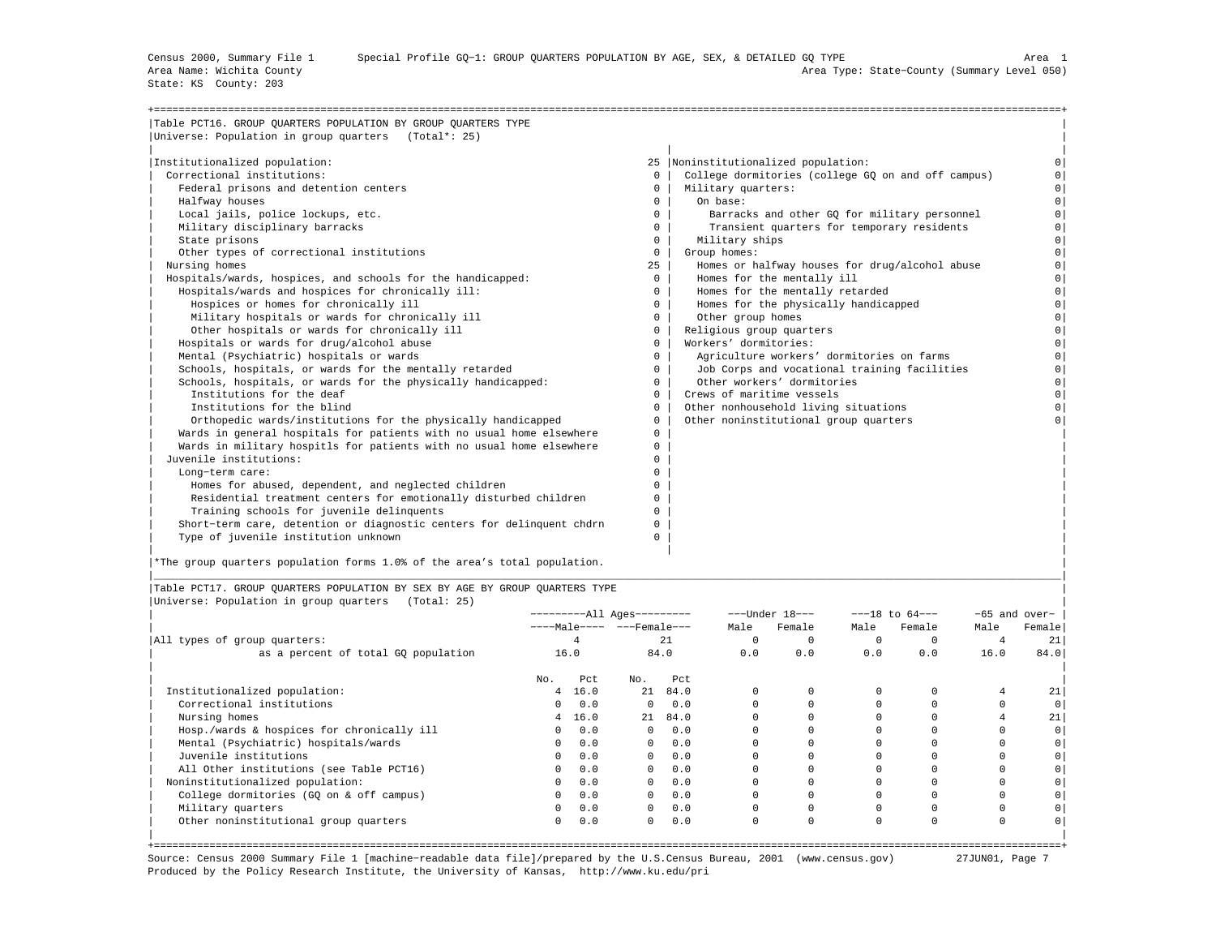State: KS County: 203

| Table PCT16. GROUP QUARTERS POPULATION BY GROUP QUARTERS TYPE         |              |                                                    |                |
|-----------------------------------------------------------------------|--------------|----------------------------------------------------|----------------|
| Universe: Population in group quarters (Total*: 25)                   |              |                                                    |                |
| Institutionalized population:                                         |              | 25  Noninstitutionalized population:               |                |
| Correctional institutions:                                            | $\Omega$     | College dormitories (college GO on and off campus) |                |
| Federal prisons and detention centers                                 | $\circ$      | Military quarters:                                 | $\circ$        |
| Halfway houses                                                        | $\mathbf{0}$ | On base:                                           | $\Omega$       |
| Local jails, police lockups, etc.                                     | $\Omega$     | Barracks and other GO for military personnel       | $\Omega$       |
| Military disciplinary barracks                                        | $\Omega$     | Transient quarters for temporary residents         | $\Omega$       |
| State prisons                                                         | $\Omega$     | Military ships                                     | $\circ$        |
| Other types of correctional institutions                              | $\Omega$     | Group homes:                                       | $\Omega$       |
| Nursing homes                                                         | 25           | Homes or halfway houses for drug/alcohol abuse     | $\Omega$       |
| Hospitals/wards, hospices, and schools for the handicapped:           | $\mathbf{0}$ | Homes for the mentally ill                         | 0 <sup>1</sup> |
| Hospitals/wards and hospices for chronically ill:                     | $\Omega$     | Homes for the mentally retarded                    | 0 <sup>1</sup> |
| Hospices or homes for chronically ill                                 | $\circ$      | Homes for the physically handicapped               | $\circ$        |
| Military hospitals or wards for chronically ill                       | $\mathbf{0}$ | Other group homes                                  | $\Omega$       |
| Other hospitals or wards for chronically ill                          | $\mathbf{0}$ | Religious group quarters                           | $\Omega$       |
| Hospitals or wards for drug/alcohol abuse                             | $\Omega$     | Workers' dormitories:                              | $\Omega$       |
| Mental (Psychiatric) hospitals or wards                               | $\Omega$     | Agriculture workers' dormitories on farms          | $\Omega$       |
| Schools, hospitals, or wards for the mentally retarded                | $\Omega$     | Job Corps and vocational training facilities       | $\circ$        |
| Schools, hospitals, or wards for the physically handicapped:          | $\Omega$     | Other workers' dormitories                         | $\circ$        |
| Institutions for the deaf                                             | $\Omega$     | Crews of maritime vessels                          | $\Omega$       |
| Institutions for the blind                                            | $\Omega$     | Other nonhousehold living situations               | $\Omega$       |
| Orthopedic wards/institutions for the physically handicapped          | $\Omega$     | Other noninstitutional group quarters              |                |
| Wards in general hospitals for patients with no usual home elsewhere  | $\Omega$     |                                                    |                |
| Wards in military hospitls for patients with no usual home elsewhere  | $\Omega$     |                                                    |                |
| Juvenile institutions:                                                | $\Omega$     |                                                    |                |
| Long-term care:                                                       | $\Omega$     |                                                    |                |
| Homes for abused, dependent, and neglected children                   | $\Omega$     |                                                    |                |
| Residential treatment centers for emotionally disturbed children      | $\Omega$     |                                                    |                |
| Training schools for juvenile delinquents                             | $\Omega$     |                                                    |                |
| Short-term care, detention or diagnostic centers for delinquent chdrn | $^{\circ}$   |                                                    |                |
| Type of juvenile institution unknown                                  | $\Omega$     |                                                    |                |

|\*The group quarters population forms 1.0% of the area's total population. |

|Table PCT17. GROUP QUARTERS POPULATION BY SEX BY AGE BY GROUP QUARTERS TYPE | |Universe: Population in group quarters (Total: 25) |

|                                            |                 |      | ----------All Ages--------- |      |      | $---Under 18---$ |          | $---18$ to $64---$ |      | $-65$ and over- |
|--------------------------------------------|-----------------|------|-----------------------------|------|------|------------------|----------|--------------------|------|-----------------|
|                                            |                 |      | ----Male---- ---Female---   |      | Male | Female           | Male     | Female             | Male | Female          |
| All types of group quarters:               |                 |      |                             | 21   |      |                  | $\Omega$ |                    | 4    | 21              |
| as a percent of total GQ population        | 16.0            |      |                             | 84.0 | 0.0  | 0.0              | 0.0      | 0.0                | 16.0 | 84.0            |
|                                            | No.             | Pct  | No.                         | Pct  |      |                  |          |                    |      |                 |
| Institutionalized population:              | $\overline{4}$  | 16.0 | 21                          | 84.0 |      |                  | $\Omega$ |                    |      | 21              |
| Correctional institutions                  | $\circ$         | 0.0  | $^{\circ}$                  | 0.0  |      |                  |          |                    |      | $\circ$         |
| Nursing homes                              | $4\overline{ }$ | 16.0 | 21                          | 84.0 |      |                  |          |                    |      | 21              |
| Hosp./wards & hospices for chronically ill | $\Omega$        | 0.0  | $\mathbf{0}$                | 0.0  |      |                  |          |                    |      | $\circ$         |
| Mental (Psychiatric) hospitals/wards       | $\mathbf{0}$    | 0.0  | $\mathbf{0}$                | 0.0  |      |                  |          |                    |      | $\circ$         |
| Juvenile institutions                      | $\circ$         | 0.0  | $\mathbf{0}$                | 0.0  |      |                  |          |                    |      | $\circ$         |
| All Other institutions (see Table PCT16)   | $\mathbf{0}$    | 0.0  | $^{\circ}$                  | 0.0  |      |                  |          |                    |      | 0               |
| Noninstitutionalized population:           | $\circ$         | 0.0  | $\mathbf{0}$                | 0.0  |      |                  |          |                    |      | $\circ$         |
| College dormitories (GQ on & off campus)   | $\mathbf{0}$    | 0.0  | $\mathbf{0}$                | 0.0  |      |                  |          |                    |      | $\circ$         |
| Military quarters                          | $\circ$         | 0.0  | $^{\circ}$                  | 0.0  |      |                  |          |                    |      | $\circ$         |
| Other noninstitutional group quarters      | $\circ$         | 0.0  | $\mathbf{0}$                | 0.0  |      | $\Omega$         | $\Omega$ | $\Omega$           |      | $\Omega$        |
|                                            |                 |      |                             |      |      |                  |          |                    |      |                 |

|\_\_\_\_\_\_\_\_\_\_\_\_\_\_\_\_\_\_\_\_\_\_\_\_\_\_\_\_\_\_\_\_\_\_\_\_\_\_\_\_\_\_\_\_\_\_\_\_\_\_\_\_\_\_\_\_\_\_\_\_\_\_\_\_\_\_\_\_\_\_\_\_\_\_\_\_\_\_\_\_\_\_\_\_\_\_\_\_\_\_\_\_\_\_\_\_\_\_\_\_\_\_\_\_\_\_\_\_\_\_\_\_\_\_\_\_\_\_\_\_\_\_\_\_\_\_\_\_\_\_\_\_\_\_\_\_\_\_\_\_\_\_\_\_\_\_\_|

+===================================================================================================================================================+ Source: Census 2000 Summary File 1 [machine−readable data file]/prepared by the U.S.Census Bureau, 2001 (www.census.gov) 27JUN01, Page 7 Produced by the Policy Research Institute, the University of Kansas, http://www.ku.edu/pri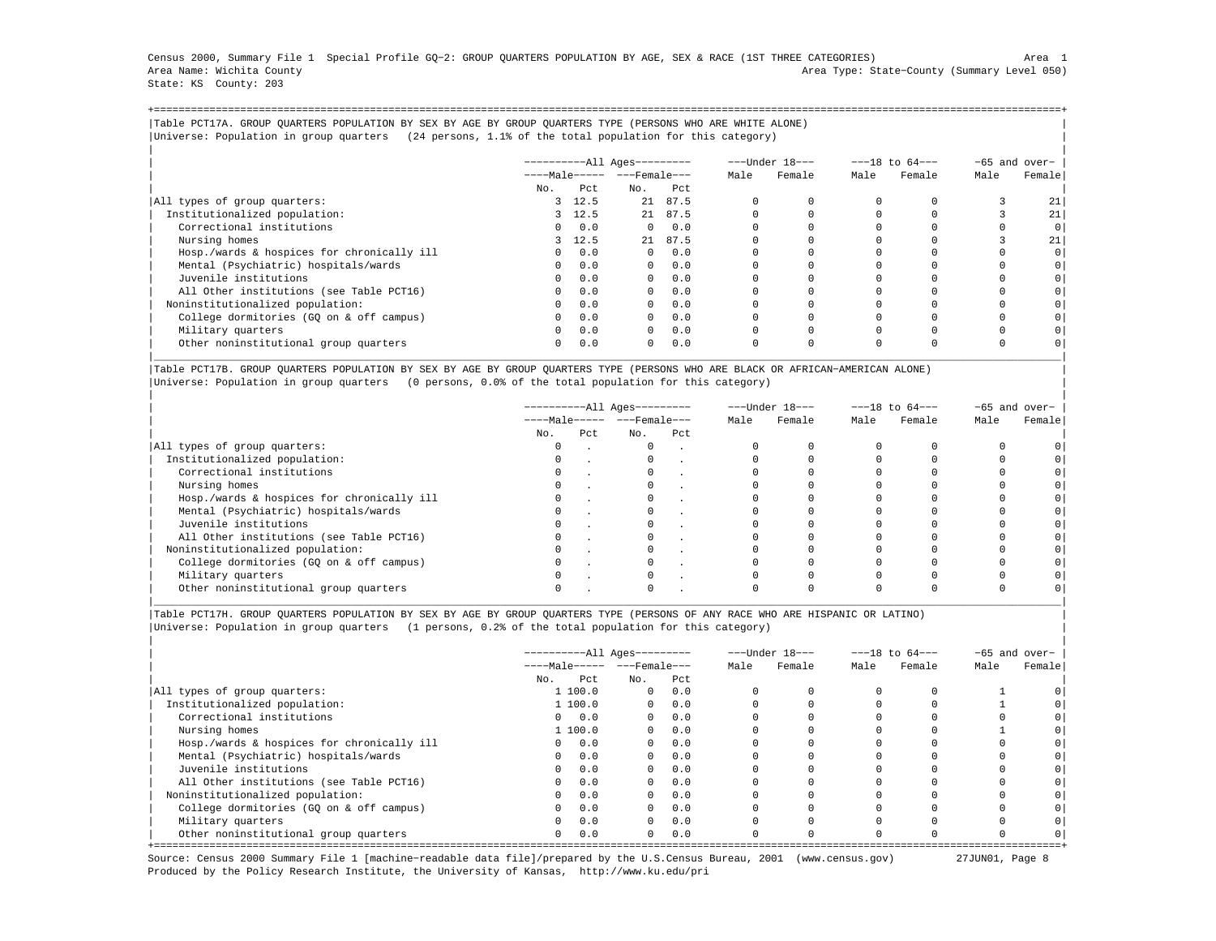|                           |  |  |  |  |  | Census 2000, Summary File 1 Special Profile GO-2: GROUP OUARTERS POPULATION BY AGE, SEX & RACE (1ST THREE CATEGORIES) |                                             | Area |  |
|---------------------------|--|--|--|--|--|-----------------------------------------------------------------------------------------------------------------------|---------------------------------------------|------|--|
| Area Name: Wichita County |  |  |  |  |  |                                                                                                                       | Area Type: State-County (Summary Level 050) |      |  |
| State: KS County: 203     |  |  |  |  |  |                                                                                                                       |                                             |      |  |

+===================================================================================================================================================+|Table PCT17A. GROUP QUARTERS POPULATION BY SEX BY AGE BY GROUP QUARTERS TYPE (PERSONS WHO ARE WHITE ALONE) | |Universe: Population in group quarters (24 persons, 1.1% of the total population for this category) |

|                                            |          |         | ----------All Ages--------- |            |          | ---Under 18--- |      | $---18$ to $64---$ |      | $-65$ and over- |
|--------------------------------------------|----------|---------|-----------------------------|------------|----------|----------------|------|--------------------|------|-----------------|
|                                            |          |         | $---Male--- - -Frame$       |            | Male     | Female         | Male | Female             | Male | Female          |
|                                            | No.      | Pct     | No.                         | Pct        |          |                |      |                    |      |                 |
| All types of group quarters:               |          | 3, 12.5 |                             | 21 87.5    |          |                |      |                    |      | 21              |
| Institutionalized population:              |          | 3, 12.5 |                             | 21 87.5    |          |                |      |                    |      | 21              |
| Correctional institutions                  | $\Omega$ | 0.0     | $\Omega$                    | 0.0        |          |                |      |                    |      | 0 <sup>1</sup>  |
| Nursing homes                              | 3        | 12.5    |                             | 21 87.5    |          |                |      |                    |      | 21              |
| Hosp./wards & hospices for chronically ill | $\Omega$ | 0.0     | $\Omega$                    | 0.0        |          |                |      |                    |      | 0               |
| Mental (Psychiatric) hospitals/wards       | $\Omega$ | 0.0     |                             | $0 \t 0.0$ |          |                |      |                    |      | 0               |
| Juvenile institutions                      | $\Omega$ | 0.0     | $\Omega$                    | 0.0        |          |                |      |                    |      | 0               |
| All Other institutions (see Table PCT16)   | $\Omega$ | 0.0     | $\Omega$                    | 0.0        |          |                |      |                    |      |                 |
| Noninstitutionalized population:           | $\Omega$ | 0.0     | $\Omega$                    | 0.0        |          |                |      |                    |      |                 |
| College dormitories (GO on & off campus)   | $\circ$  | 0.0     | $\Omega$                    | 0.0        |          |                |      |                    |      | 0 <sup>1</sup>  |
| Military quarters                          | $\Omega$ | 0.0     | $\mathbf{0}$                | 0.0        | $\Omega$ |                |      |                    |      |                 |
| Other noninstitutional group quarters      | $\Omega$ | 0.0     | $\Omega$                    | 0.0        | 0        |                |      | $\Omega$           |      |                 |

|Table PCT17B. GROUP QUARTERS POPULATION BY SEX BY AGE BY GROUP QUARTERS TYPE (PERSONS WHO ARE BLACK OR AFRICAN−AMERICAN ALONE) | |Universe: Population in group quarters (0 persons, 0.0% of the total population for this category) |

|                                            |          |     | -----------All Ages--------- |     |      | ---Under 18--- |      | $---18$ to $64---$ |      | -65 and over- |
|--------------------------------------------|----------|-----|------------------------------|-----|------|----------------|------|--------------------|------|---------------|
|                                            |          |     | $---Male--- - - - Female---$ |     | Male | Female         | Male | Female             | Male | Female        |
|                                            | No.      | Pct | No.                          | Pct |      |                |      |                    |      |               |
| All types of group quarters:               | $\Omega$ |     | $\Omega$                     |     |      |                |      |                    |      |               |
| Institutionalized population:              |          |     |                              |     |      |                |      |                    |      |               |
| Correctional institutions                  | $\circ$  |     | $\mathbf{0}$                 |     |      |                |      |                    |      |               |
| Nursing homes                              |          |     |                              |     |      |                |      |                    |      |               |
| Hosp./wards & hospices for chronically ill |          |     |                              |     |      |                |      |                    |      |               |
| Mental (Psychiatric) hospitals/wards       | 0        |     |                              |     |      |                |      |                    |      |               |
| Juvenile institutions                      |          |     |                              |     |      |                |      |                    |      |               |
| All Other institutions (see Table PCT16)   |          |     |                              |     |      |                |      |                    |      |               |
| Noninstitutionalized population:           | 0        |     | 0                            |     |      |                |      |                    |      |               |
| College dormitories (GO on & off campus)   |          |     |                              |     |      |                |      |                    |      |               |
| Military quarters                          |          |     |                              |     |      |                |      |                    |      |               |
| Other noninstitutional group quarters      |          |     |                              |     |      |                |      |                    |      |               |

|\_\_\_\_\_\_\_\_\_\_\_\_\_\_\_\_\_\_\_\_\_\_\_\_\_\_\_\_\_\_\_\_\_\_\_\_\_\_\_\_\_\_\_\_\_\_\_\_\_\_\_\_\_\_\_\_\_\_\_\_\_\_\_\_\_\_\_\_\_\_\_\_\_\_\_\_\_\_\_\_\_\_\_\_\_\_\_\_\_\_\_\_\_\_\_\_\_\_\_\_\_\_\_\_\_\_\_\_\_\_\_\_\_\_\_\_\_\_\_\_\_\_\_\_\_\_\_\_\_\_\_\_\_\_\_\_\_\_\_\_\_\_\_\_\_\_\_|

|Table PCT17H. GROUP QUARTERS POPULATION BY SEX BY AGE BY GROUP QUARTERS TYPE (PERSONS OF ANY RACE WHO ARE HISPANIC OR LATINO) | |Universe: Population in group quarters (1 persons, 0.2% of the total population for this category) |

|                                            | ----------All Ages--------- |         |              |      |      | ---Under 18--- | $---18$ to $64---$ |        | $-65$ and over- |        |
|--------------------------------------------|-----------------------------|---------|--------------|------|------|----------------|--------------------|--------|-----------------|--------|
|                                            | $---Male--- - -Frame$       |         |              |      | Male | Female         | Male               | Female | Male            | Female |
|                                            | No.                         | Pct.    | No.          | Pct. |      |                |                    |        |                 |        |
| All types of group quarters:               |                             | 1 100.0 | $\circ$      | 0.0  |      |                |                    |        |                 |        |
| Institutionalized population:              |                             | 1 100.0 | $\circ$      | 0.0  |      |                |                    |        |                 |        |
| Correctional institutions                  | $\Omega$                    | 0.0     | $\circ$      | 0.0  |      |                |                    |        |                 |        |
| Nursing homes                              |                             | 1 100.0 | $\Omega$     | 0.0  |      |                |                    |        |                 |        |
| Hosp./wards & hospices for chronically ill | $\Omega$                    | 0.0     | $\Omega$     | 0.0  |      |                |                    |        |                 |        |
| Mental (Psychiatric) hospitals/wards       | $\Omega$                    | 0.0     | $\mathbf{0}$ | 0.0  |      |                |                    |        |                 |        |
| Juvenile institutions                      | $\Omega$                    | 0.0     | $\Omega$     | 0.0  |      |                |                    |        |                 |        |
| All Other institutions (see Table PCT16)   | $\Omega$                    | 0.0     | $\Omega$     | 0.0  |      |                |                    |        |                 |        |
| Noninstitutionalized population:           | $\Omega$                    | 0.0     | $\Omega$     | 0.0  |      |                |                    |        |                 |        |
| College dormitories (GQ on & off campus)   |                             | 0.0     | $\mathbf{0}$ | 0.0  |      |                |                    |        |                 |        |
| Military quarters                          | $\Omega$                    | 0.0     | $\Omega$     | 0.0  |      |                |                    |        |                 |        |
| Other noninstitutional group quarters      | $\mathbf{0}$                | 0.0     | $\Omega$     | 0.0  |      |                |                    |        |                 |        |

Source: Census 2000 Summary File 1 [machine−readable data file]/prepared by the U.S.Census Bureau, 2001 (www.census.gov) 27JUN01, Page 8 Produced by the Policy Research Institute, the University of Kansas, http://www.ku.edu/pri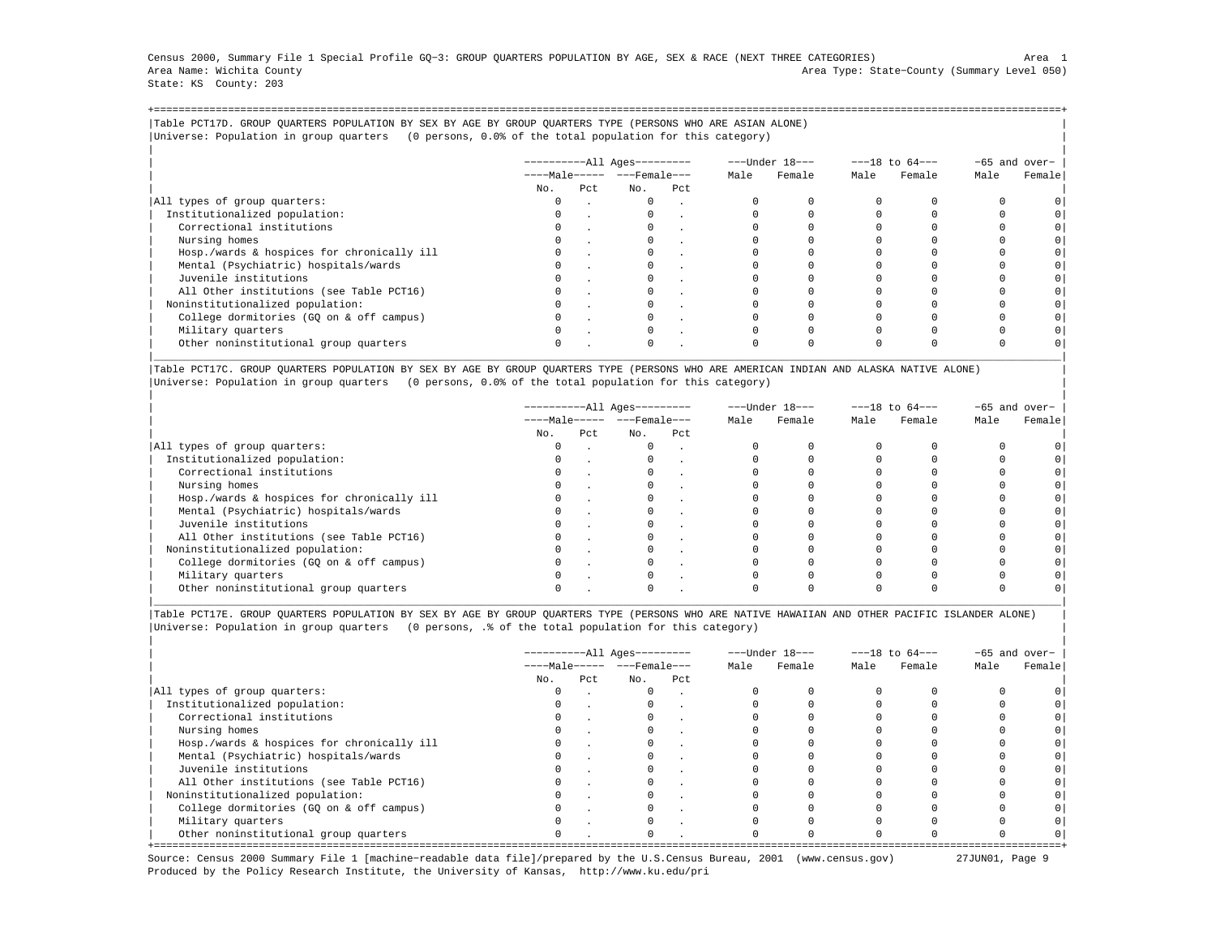Census 2000, Summary File 1 Special Profile GQ−3: GROUP QUARTERS POPULATION BY AGE, SEX & RACE (NEXT THREE CATEGORIES) Area 1 Area Name: Wichita County Area Type: State−County (Summary Level 050) State: KS County: 203

+===================================================================================================================================================+|Table PCT17D. GROUP QUARTERS POPULATION BY SEX BY AGE BY GROUP QUARTERS TYPE (PERSONS WHO ARE ASIAN ALONE) | |Universe: Population in group quarters (0 persons, 0.0% of the total population for this category) |

|                                            | $------All Aqes------$ |     |                         |     |      | ---Under 18--- |      | $---18$ to $64---$ | -65 and over- |         |
|--------------------------------------------|------------------------|-----|-------------------------|-----|------|----------------|------|--------------------|---------------|---------|
|                                            |                        |     | $---Male--- - - Female$ |     | Male | Female         | Male | Female             | Male          | Female  |
|                                            | No.                    | Pct | No.                     | Pct |      |                |      |                    |               |         |
| All types of group quarters:               |                        |     | $\mathbf{0}$            |     |      |                |      |                    |               |         |
| Institutionalized population:              |                        |     |                         |     |      |                |      |                    |               |         |
| Correctional institutions                  |                        |     |                         |     |      |                |      |                    |               | $\circ$ |
| Nursing homes                              |                        |     |                         |     |      |                |      |                    |               |         |
| Hosp./wards & hospices for chronically ill |                        |     |                         |     |      |                |      |                    |               | $\circ$ |
| Mental (Psychiatric) hospitals/wards       |                        |     |                         |     |      |                |      |                    |               | $\circ$ |
| Juvenile institutions                      |                        |     |                         |     |      |                |      |                    |               | $\circ$ |
| All Other institutions (see Table PCT16)   |                        |     |                         |     |      |                |      |                    |               |         |
| Noninstitutionalized population:           |                        |     |                         |     |      |                |      |                    |               | $\circ$ |
| College dormitories (GO on & off campus)   |                        |     |                         |     |      |                |      |                    |               | $\circ$ |
| Military quarters                          |                        |     | $\Omega$                |     |      |                |      |                    |               |         |
| Other noninstitutional group quarters      |                        |     |                         |     |      |                |      |                    |               |         |

|Table PCT17C. GROUP QUARTERS POPULATION BY SEX BY AGE BY GROUP QUARTERS TYPE (PERSONS WHO ARE AMERICAN INDIAN AND ALASKA NATIVE ALONE) | |Universe: Population in group quarters (0 persons, 0.0% of the total population for this category) |

|                                            |          |     | ----------All Ages--------- |                                |  | ---Under 18--- | $---18$ to $64---$ |        | $-65$ and over- |        |
|--------------------------------------------|----------|-----|-----------------------------|--------------------------------|--|----------------|--------------------|--------|-----------------|--------|
|                                            |          |     |                             | $---Male--- -  ---$ Female --- |  | Female         | Male               | Female | Male            | Female |
|                                            | No.      | Pct | No.                         | Pct                            |  |                |                    |        |                 |        |
| All types of group quarters:               | 0        |     | $\mathbf{0}$                | $\sim$                         |  |                |                    |        |                 |        |
| Institutionalized population:              | 0        |     |                             |                                |  |                |                    |        |                 |        |
| Correctional institutions                  | $\Omega$ |     |                             |                                |  |                |                    |        |                 |        |
| Nursing homes                              |          |     |                             |                                |  |                |                    |        |                 |        |
| Hosp./wards & hospices for chronically ill |          |     |                             |                                |  |                |                    |        |                 |        |
| Mental (Psychiatric) hospitals/wards       |          |     |                             |                                |  |                |                    |        |                 |        |
| Juvenile institutions                      | $\Omega$ |     |                             |                                |  |                |                    |        |                 |        |
| All Other institutions (see Table PCT16)   |          |     |                             |                                |  |                |                    |        |                 |        |
| Noninstitutionalized population:           |          |     |                             |                                |  |                |                    |        |                 |        |
| College dormitories (GQ on & off campus)   |          |     |                             |                                |  |                |                    |        |                 |        |
| Military quarters                          | $\Omega$ |     |                             |                                |  |                |                    |        |                 |        |
| Other noninstitutional group quarters      |          |     |                             |                                |  |                |                    |        |                 |        |

|Table PCT17E. GROUP QUARTERS POPULATION BY SEX BY AGE BY GROUP QUARTERS TYPE (PERSONS WHO ARE NATIVE HAWAIIAN AND OTHER PACIFIC ISLANDER ALONE) | |Universe: Population in group quarters (0 persons, .% of the total population for this category) |

|                                            |          |      | ----------All Ages---------  |     |      | ---Under 18--- |      | $---18$ to $64---$ | -65 and over- |        |
|--------------------------------------------|----------|------|------------------------------|-----|------|----------------|------|--------------------|---------------|--------|
|                                            |          |      | $---Male--- - - - Female---$ |     | Male | Female         | Male | Female             | Male          | Female |
|                                            | No.      | Pct. | No.                          | Pct |      |                |      |                    |               |        |
| All types of group quarters:               | 0        |      | $\Omega$                     |     |      |                |      |                    |               |        |
| Institutionalized population:              | $\Omega$ |      |                              |     |      |                |      |                    |               |        |
| Correctional institutions                  |          |      |                              |     |      |                |      |                    |               |        |
| Nursing homes                              |          |      |                              |     |      |                |      |                    |               |        |
| Hosp./wards & hospices for chronically ill | $\Omega$ |      |                              |     |      |                |      |                    |               |        |
| Mental (Psychiatric) hospitals/wards       | 0        |      |                              |     |      |                |      |                    |               |        |
| Juvenile institutions                      |          |      |                              |     |      |                |      |                    |               |        |
| All Other institutions (see Table PCT16)   |          |      |                              |     |      |                |      |                    |               |        |
| Noninstitutionalized population:           | $\Omega$ |      |                              |     |      |                |      |                    |               |        |
| College dormitories (GQ on & off campus)   |          |      |                              |     |      |                |      |                    |               |        |
| Military quarters                          |          |      |                              |     |      |                |      |                    |               |        |
| Other noninstitutional group quarters      | $\Omega$ |      | $\Omega$                     |     |      |                |      |                    |               |        |

Source: Census 2000 Summary File 1 [machine−readable data file]/prepared by the U.S.Census Bureau, 2001 (www.census.gov) 27JUN01, Page 9 Produced by the Policy Research Institute, the University of Kansas, http://www.ku.edu/pri